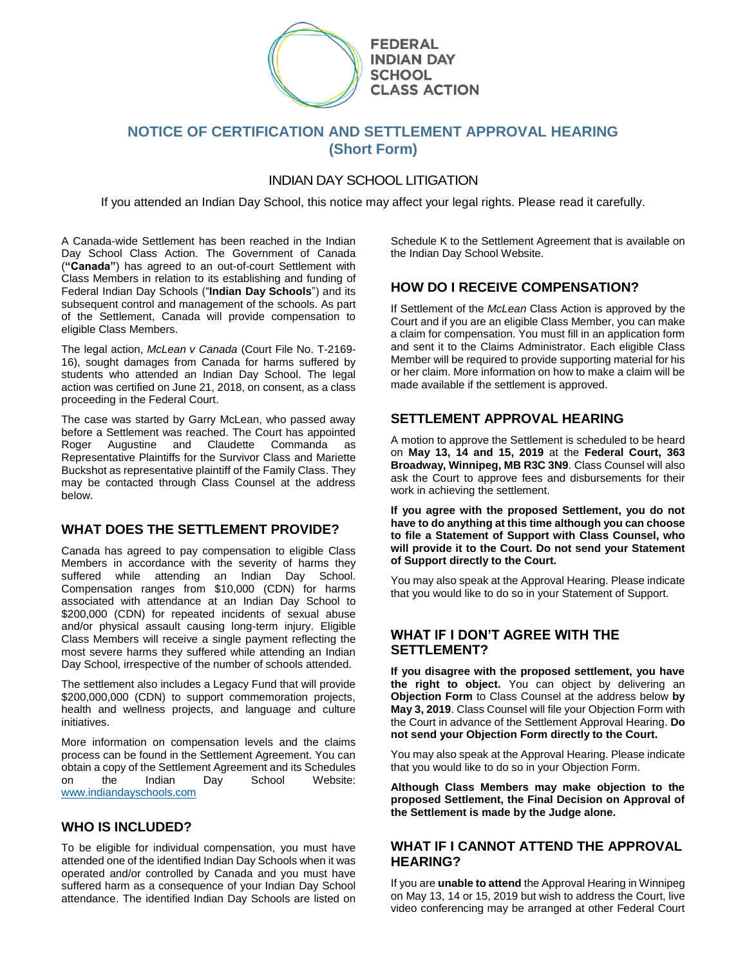

# **NOTICE OF CERTIFICATION AND SETTLEMENT APPROVAL HEARING (Short Form)**

## INDIAN DAY SCHOOL LITIGATION

If you attended an Indian Day School, this notice may affect your legal rights. Please read it carefully.

A Canada-wide Settlement has been reached in the Indian Day School Class Action. The Government of Canada (**"Canada"**) has agreed to an out-of-court Settlement with Class Members in relation to its establishing and funding of Federal Indian Day Schools ("**Indian Day Schools**") and its subsequent control and management of the schools. As part of the Settlement, Canada will provide compensation to eligible Class Members.

The legal action, *McLean v Canada* (Court File No. T-2169- 16), sought damages from Canada for harms suffered by students who attended an Indian Day School. The legal action was certified on June 21, 2018, on consent, as a class proceeding in the Federal Court.

The case was started by Garry McLean, who passed away before a Settlement was reached. The Court has appointed Roger Augustine and Claudette Commanda as Representative Plaintiffs for the Survivor Class and Mariette Buckshot as representative plaintiff of the Family Class. They may be contacted through Class Counsel at the address below.

#### **WHAT DOES THE SETTLEMENT PROVIDE?**

Canada has agreed to pay compensation to eligible Class Members in accordance with the severity of harms they suffered while attending an Indian Day School. Compensation ranges from \$10,000 (CDN) for harms associated with attendance at an Indian Day School to \$200,000 (CDN) for repeated incidents of sexual abuse and/or physical assault causing long-term injury. Eligible Class Members will receive a single payment reflecting the most severe harms they suffered while attending an Indian Day School, irrespective of the number of schools attended.

The settlement also includes a Legacy Fund that will provide \$200,000,000 (CDN) to support commemoration projects, health and wellness projects, and language and culture initiatives.

More information on compensation levels and the claims process can be found in the Settlement Agreement. You can obtain a copy of the Settlement Agreement and its Schedules on the Indian Day School Website: [www.indiandayschools.com](http://www.indiandayschools.com/)

#### **WHO IS INCLUDED?**

To be eligible for individual compensation, you must have attended one of the identified Indian Day Schools when it was operated and/or controlled by Canada and you must have suffered harm as a consequence of your Indian Day School attendance. The identified Indian Day Schools are listed on Schedule K to the Settlement Agreement that is available on the Indian Day School Website.

## **HOW DO I RECEIVE COMPENSATION?**

If Settlement of the *McLean* Class Action is approved by the Court and if you are an eligible Class Member, you can make a claim for compensation. You must fill in an application form and sent it to the Claims Administrator. Each eligible Class Member will be required to provide supporting material for his or her claim. More information on how to make a claim will be made available if the settlement is approved.

#### **SETTLEMENT APPROVAL HEARING**

A motion to approve the Settlement is scheduled to be heard on **May 13, 14 and 15, 2019** at the **Federal Court, 363 Broadway, Winnipeg, MB R3C 3N9**. Class Counsel will also ask the Court to approve fees and disbursements for their work in achieving the settlement.

**If you agree with the proposed Settlement, you do not have to do anything at this time although you can choose to file a Statement of Support with Class Counsel, who will provide it to the Court. Do not send your Statement of Support directly to the Court.**

You may also speak at the Approval Hearing. Please indicate that you would like to do so in your Statement of Support.

### **WHAT IF I DON'T AGREE WITH THE SETTLEMENT?**

**If you disagree with the proposed settlement, you have the right to object.** You can object by delivering an **Objection Form** to Class Counsel at the address below **by May 3, 2019**. Class Counsel will file your Objection Form with the Court in advance of the Settlement Approval Hearing. **Do not send your Objection Form directly to the Court.**

You may also speak at the Approval Hearing. Please indicate that you would like to do so in your Objection Form.

**Although Class Members may make objection to the proposed Settlement, the Final Decision on Approval of the Settlement is made by the Judge alone.**

#### **WHAT IF I CANNOT ATTEND THE APPROVAL HEARING?**

If you are **unable to attend** the Approval Hearing in Winnipeg on May 13, 14 or 15, 2019 but wish to address the Court, live video conferencing may be arranged at other Federal Court